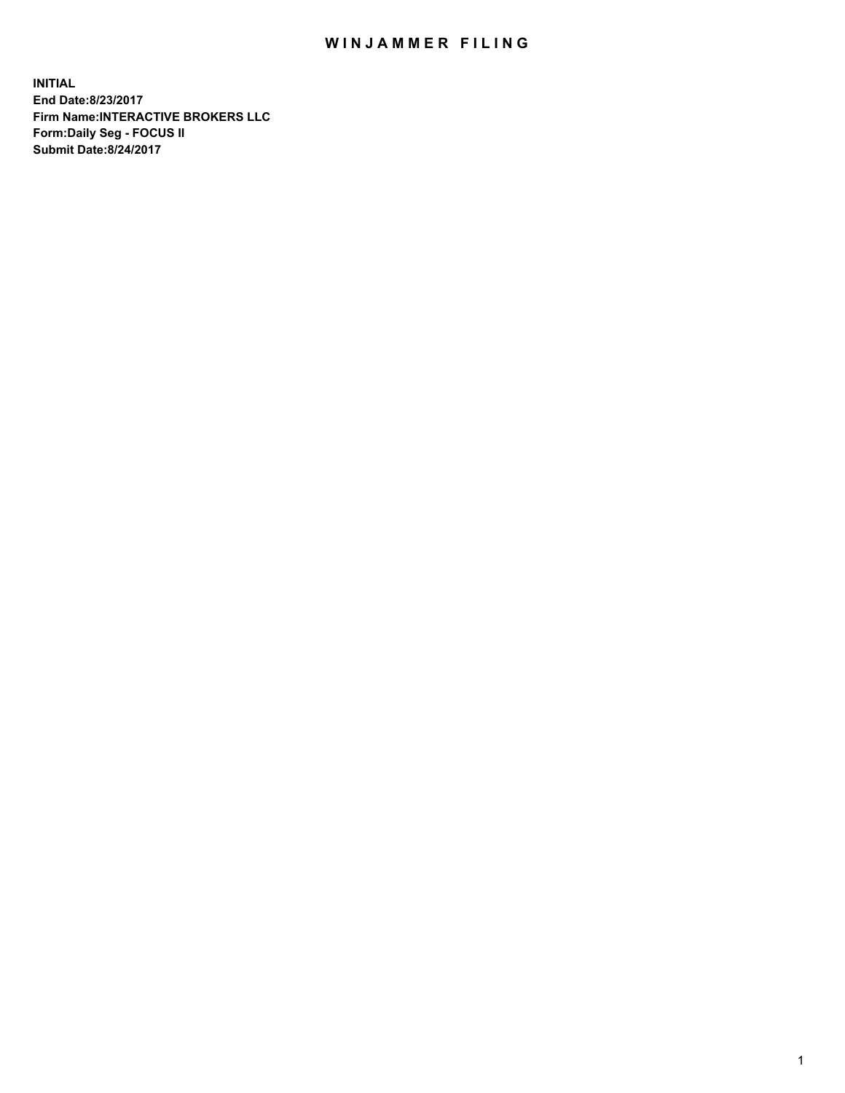## WIN JAMMER FILING

**INITIAL End Date:8/23/2017 Firm Name:INTERACTIVE BROKERS LLC Form:Daily Seg - FOCUS II Submit Date:8/24/2017**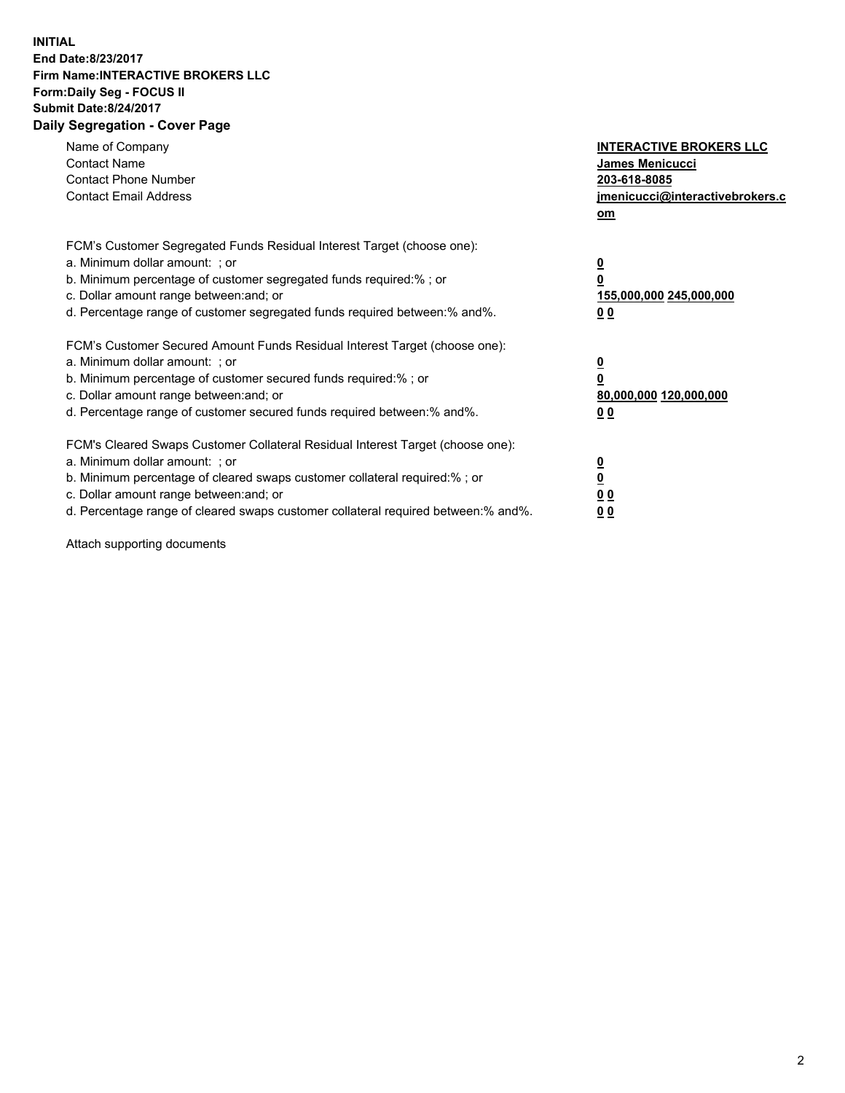## **INITIAL End Date:8/23/2017 Firm Name:INTERACTIVE BROKERS LLC Form:Daily Seg - FOCUS II Submit Date:8/24/2017 Daily Segregation - Cover Page**

| Name of Company<br><b>Contact Name</b><br><b>Contact Phone Number</b><br><b>Contact Email Address</b>                                                                                                                                                                                                                          | <b>INTERACTIVE BROKERS LLC</b><br>James Menicucci<br>203-618-8085<br>jmenicucci@interactivebrokers.c<br>om |
|--------------------------------------------------------------------------------------------------------------------------------------------------------------------------------------------------------------------------------------------------------------------------------------------------------------------------------|------------------------------------------------------------------------------------------------------------|
| FCM's Customer Segregated Funds Residual Interest Target (choose one):<br>a. Minimum dollar amount: ; or<br>b. Minimum percentage of customer segregated funds required:%; or<br>c. Dollar amount range between: and; or<br>d. Percentage range of customer segregated funds required between:% and%.                          | $\overline{\mathbf{0}}$<br>0<br>155,000,000 245,000,000<br>0 <sub>0</sub>                                  |
| FCM's Customer Secured Amount Funds Residual Interest Target (choose one):<br>a. Minimum dollar amount: ; or<br>b. Minimum percentage of customer secured funds required:%; or<br>c. Dollar amount range between: and; or<br>d. Percentage range of customer secured funds required between:% and%.                            | $\overline{\mathbf{0}}$<br>$\overline{\mathbf{0}}$<br>80,000,000 120,000,000<br>00                         |
| FCM's Cleared Swaps Customer Collateral Residual Interest Target (choose one):<br>a. Minimum dollar amount: ; or<br>b. Minimum percentage of cleared swaps customer collateral required:% ; or<br>c. Dollar amount range between: and; or<br>d. Percentage range of cleared swaps customer collateral required between:% and%. | $\overline{\mathbf{0}}$<br>$\overline{\mathbf{0}}$<br>0 <sub>0</sub><br><u>00</u>                          |

Attach supporting documents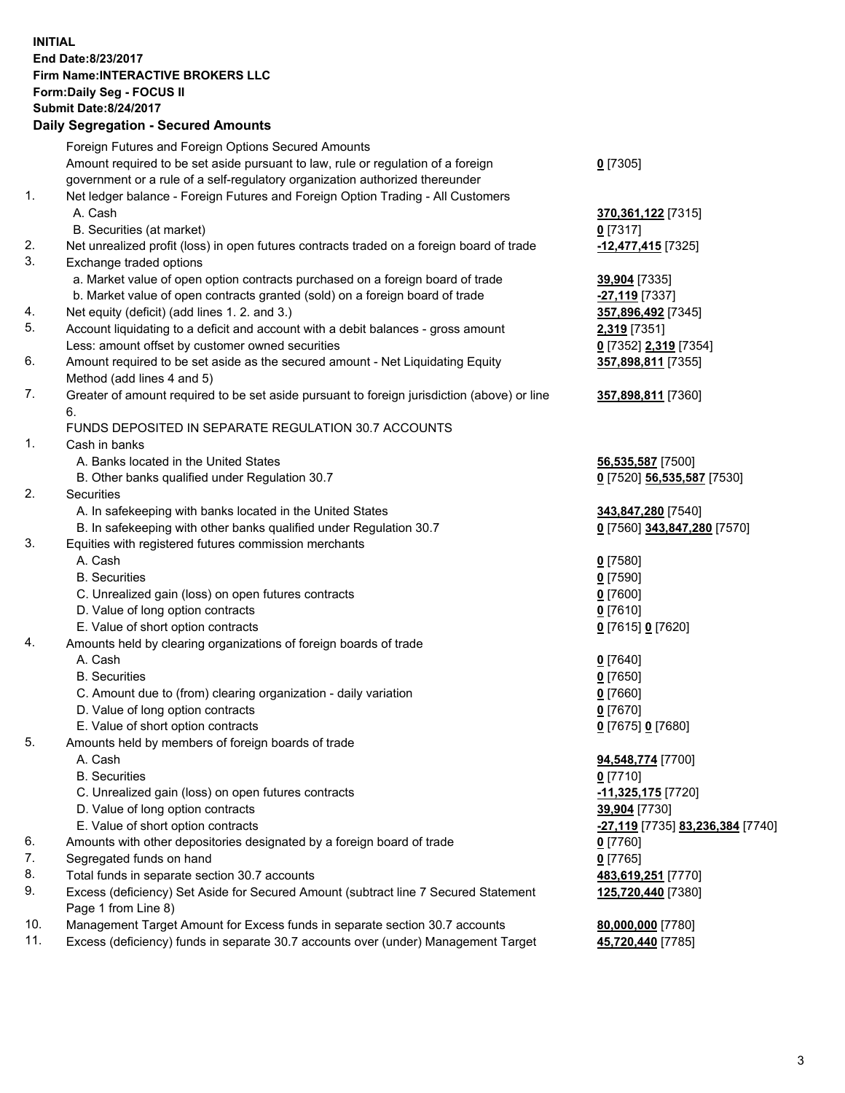## **INITIAL End Date:8/23/2017 Firm Name:INTERACTIVE BROKERS LLC Form:Daily Seg - FOCUS II**  Submit Date:8/24/2017<br>Daily Segregation Secured A

|     | <b>Daily Segregation - Secured Amounts</b>                                                                   |                                  |
|-----|--------------------------------------------------------------------------------------------------------------|----------------------------------|
|     | Foreign Futures and Foreign Options Secured Amounts                                                          |                                  |
|     | Amount required to be set aside pursuant to law, rule or regulation of a foreign                             | $0$ [7305]                       |
|     | government or a rule of a self-regulatory organization authorized thereunder                                 |                                  |
| 1.  | Net ledger balance - Foreign Futures and Foreign Option Trading - All Customers                              |                                  |
|     | A. Cash                                                                                                      | 370,361,122 [7315]               |
|     | B. Securities (at market)                                                                                    | $0$ [7317]                       |
| 2.  | Net unrealized profit (loss) in open futures contracts traded on a foreign board of trade                    | -12,477,415 [7325]               |
| 3.  | Exchange traded options                                                                                      |                                  |
|     | a. Market value of open option contracts purchased on a foreign board of trade                               | 39,904 [7335]                    |
|     | b. Market value of open contracts granted (sold) on a foreign board of trade                                 | <mark>-27,119</mark> [7337]      |
| 4.  | Net equity (deficit) (add lines 1.2. and 3.)                                                                 | 357,896,492 [7345]               |
| 5.  | Account liquidating to a deficit and account with a debit balances - gross amount                            | 2,319 [7351]                     |
|     | Less: amount offset by customer owned securities                                                             | 0 [7352] 2,319 [7354]            |
| 6.  |                                                                                                              |                                  |
|     | Amount required to be set aside as the secured amount - Net Liquidating Equity<br>Method (add lines 4 and 5) | 357,898,811 [7355]               |
| 7.  |                                                                                                              |                                  |
|     | Greater of amount required to be set aside pursuant to foreign jurisdiction (above) or line                  | 357,898,811 [7360]               |
|     | 6.                                                                                                           |                                  |
|     | FUNDS DEPOSITED IN SEPARATE REGULATION 30.7 ACCOUNTS                                                         |                                  |
| 1.  | Cash in banks                                                                                                |                                  |
|     | A. Banks located in the United States                                                                        | 56,535,587 [7500]                |
|     | B. Other banks qualified under Regulation 30.7                                                               | 0 [7520] 56,535,587 [7530]       |
| 2.  | Securities                                                                                                   |                                  |
|     | A. In safekeeping with banks located in the United States                                                    | 343,847,280 [7540]               |
|     | B. In safekeeping with other banks qualified under Regulation 30.7                                           | 0 [7560] 343,847,280 [7570]      |
| 3.  | Equities with registered futures commission merchants                                                        |                                  |
|     | A. Cash                                                                                                      | $0$ [7580]                       |
|     | <b>B.</b> Securities                                                                                         | <u>0</u> [7590]                  |
|     | C. Unrealized gain (loss) on open futures contracts                                                          | 0 [7600]                         |
|     | D. Value of long option contracts                                                                            | $0$ [7610]                       |
|     | E. Value of short option contracts                                                                           | 0 [7615] 0 [7620]                |
| 4.  | Amounts held by clearing organizations of foreign boards of trade                                            |                                  |
|     | A. Cash                                                                                                      | $0$ [7640]                       |
|     | <b>B.</b> Securities                                                                                         | $0$ [7650]                       |
|     | C. Amount due to (from) clearing organization - daily variation                                              | 0 [7660]                         |
|     | D. Value of long option contracts                                                                            | $0$ [7670]                       |
|     | E. Value of short option contracts                                                                           | 0 [7675] 0 [7680]                |
| 5.  | Amounts held by members of foreign boards of trade                                                           |                                  |
|     | A. Cash                                                                                                      | 94,548,774 [7700]                |
|     | <b>B.</b> Securities                                                                                         | 0 [7710]                         |
|     | C. Unrealized gain (loss) on open futures contracts                                                          | -11,325,175 [7720]               |
|     | D. Value of long option contracts                                                                            | 39,904 [7730]                    |
|     | E. Value of short option contracts                                                                           | -27,119 [7735] 83,236,384 [7740] |
| 6.  | Amounts with other depositories designated by a foreign board of trade                                       | $0$ [7760]                       |
| 7.  | Segregated funds on hand                                                                                     | $0$ [7765]                       |
| 8.  | Total funds in separate section 30.7 accounts                                                                | 483,619,251 [7770]               |
| 9.  | Excess (deficiency) Set Aside for Secured Amount (subtract line 7 Secured Statement                          | 125,720,440 [7380]               |
|     | Page 1 from Line 8)                                                                                          |                                  |
| 10. | Management Target Amount for Excess funds in separate section 30.7 accounts                                  | 80,000,000 [7780]                |
| 11. | Excess (deficiency) funds in separate 30.7 accounts over (under) Management Target                           | 45,720,440 [7785]                |
|     |                                                                                                              |                                  |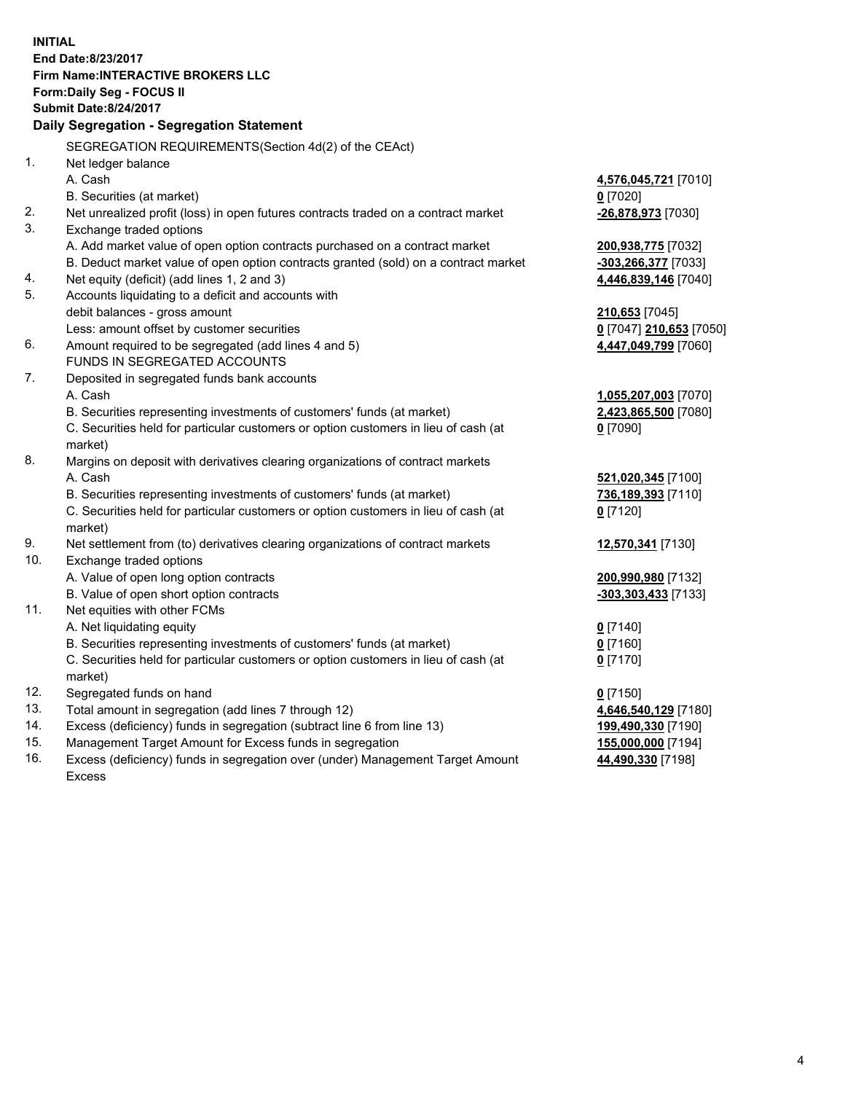**INITIAL End Date:8/23/2017 Firm Name:INTERACTIVE BROKERS LLC Form:Daily Seg - FOCUS II Submit Date:8/24/2017 Daily Segregation - Segregation Statement** SEGREGATION REQUIREMENTS(Section 4d(2) of the CEAct) 1. Net ledger balance A. Cash **4,576,045,721** [7010] B. Securities (at market) **0** [7020] 2. Net unrealized profit (loss) in open futures contracts traded on a contract market **-26,878,973** [7030] 3. Exchange traded options A. Add market value of open option contracts purchased on a contract market **200,938,775** [7032] B. Deduct market value of open option contracts granted (sold) on a contract market **-303,266,377** [7033] 4. Net equity (deficit) (add lines 1, 2 and 3) **4,446,839,146** [7040] 5. Accounts liquidating to a deficit and accounts with debit balances - gross amount **210,653** [7045] Less: amount offset by customer securities **0** [7047] **210,653** [7050] 6. Amount required to be segregated (add lines 4 and 5) **4,447,049,799** [7060] FUNDS IN SEGREGATED ACCOUNTS 7. Deposited in segregated funds bank accounts A. Cash **1,055,207,003** [7070] B. Securities representing investments of customers' funds (at market) **2,423,865,500** [7080] C. Securities held for particular customers or option customers in lieu of cash (at market) **0** [7090] 8. Margins on deposit with derivatives clearing organizations of contract markets A. Cash **521,020,345** [7100] B. Securities representing investments of customers' funds (at market) **736,189,393** [7110] C. Securities held for particular customers or option customers in lieu of cash (at market) **0** [7120] 9. Net settlement from (to) derivatives clearing organizations of contract markets **12,570,341** [7130] 10. Exchange traded options A. Value of open long option contracts **200,990,980** [7132] B. Value of open short option contracts **-303,303,433** [7133] 11. Net equities with other FCMs A. Net liquidating equity **0** [7140] B. Securities representing investments of customers' funds (at market) **0** [7160] C. Securities held for particular customers or option customers in lieu of cash (at market) **0** [7170] 12. Segregated funds on hand **0** [7150] 13. Total amount in segregation (add lines 7 through 12) **4,646,540,129** [7180] 14. Excess (deficiency) funds in segregation (subtract line 6 from line 13) **199,490,330** [7190] 15. Management Target Amount for Excess funds in segregation **155,000,000** [7194] **44,490,330** [7198]

16. Excess (deficiency) funds in segregation over (under) Management Target Amount Excess